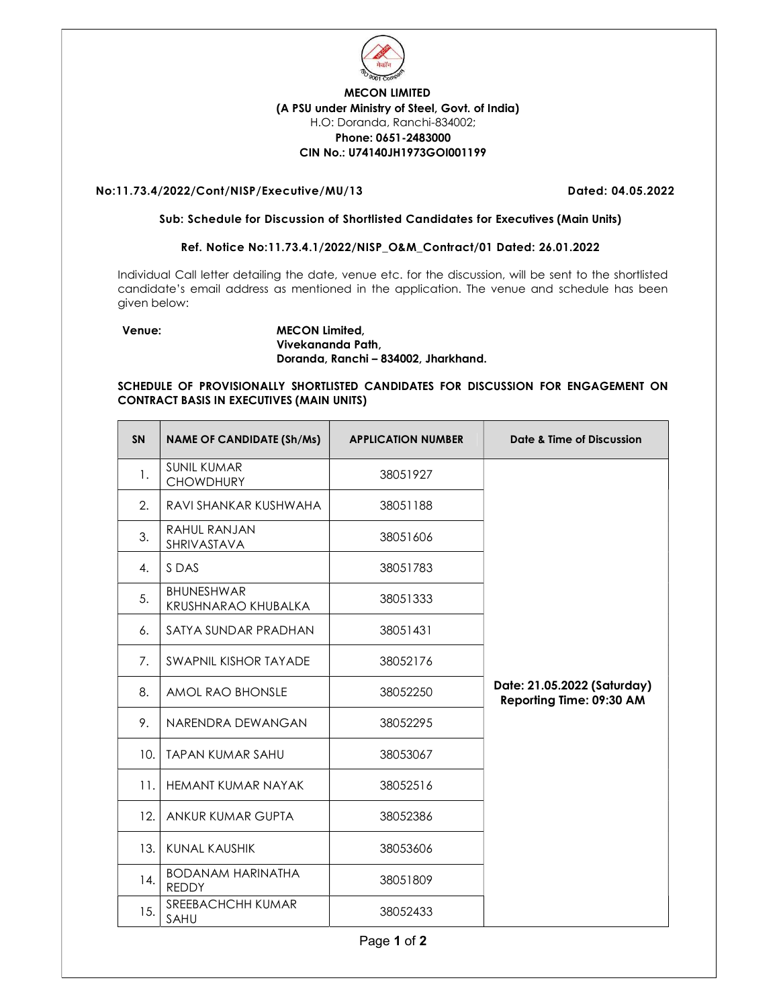

# MECON LIMITED (A PSU under Ministry of Steel, Govt. of India) H.O: Doranda, Ranchi-834002; Phone: 0651-2483000 CIN No.: U74140JH1973GOI001199

## No:11.73.4/2022/Cont/NISP/Executive/MU/13 Dated: 04.05.2022

#### Sub: Schedule for Discussion of Shortlisted Candidates for Executives (Main Units)

## Ref. Notice No:11.73.4.1/2022/NISP\_O&M\_Contract/01 Dated: 26.01.2022

Individual Call letter detailing the date, venue etc. for the discussion, will be sent to the shortlisted candidate's email address as mentioned in the application. The venue and schedule has been given below:

#### Venue: MECON Limited, Vivekananda Path, Doranda, Ranchi – 834002, Jharkhand.

### SCHEDULE OF PROVISIONALLY SHORTLISTED CANDIDATES FOR DISCUSSION FOR ENGAGEMENT ON CONTRACT BASIS IN EXECUTIVES (MAIN UNITS)

| <b>SN</b> | <b>NAME OF CANDIDATE (Sh/Ms)</b>         | <b>APPLICATION NUMBER</b> | Date & Time of Discussion                               |
|-----------|------------------------------------------|---------------------------|---------------------------------------------------------|
| 1.        | <b>SUNIL KUMAR</b><br><b>CHOWDHURY</b>   | 38051927                  |                                                         |
| 2.        | RAVI SHANKAR KUSHWAHA                    | 38051188                  |                                                         |
| 3.        | RAHUL RANJAN<br>SHRIVASTAVA              | 38051606                  |                                                         |
| 4.        | S DAS                                    | 38051783                  |                                                         |
| 5.        | <b>BHUNESHWAR</b><br>KRUSHNARAO KHUBALKA | 38051333                  |                                                         |
| 6.        | SATYA SUNDAR PRADHAN                     | 38051431                  |                                                         |
| 7.        | SWAPNIL KISHOR TAYADE                    | 38052176                  |                                                         |
| 8.        | AMOL RAO BHONSLE                         | 38052250                  | Date: 21.05.2022 (Saturday)<br>Reporting Time: 09:30 AM |
| 9.        | NARENDRA DEWANGAN                        | 38052295                  |                                                         |
| 10.       | <b>TAPAN KUMAR SAHU</b>                  | 38053067                  |                                                         |
| 11.       | <b>HEMANT KUMAR NAYAK</b>                | 38052516                  |                                                         |
| 12.       | ANKUR KUMAR GUPTA                        | 38052386                  |                                                         |
| 13.       | KUNAL KAUSHIK                            | 38053606                  |                                                         |
| 14.       | <b>BODANAM HARINATHA</b><br><b>REDDY</b> | 38051809                  |                                                         |
| 15.       | SREEBACHCHH KUMAR<br>SAHU                | 38052433                  |                                                         |
|           |                                          | Page 1 of 2               |                                                         |